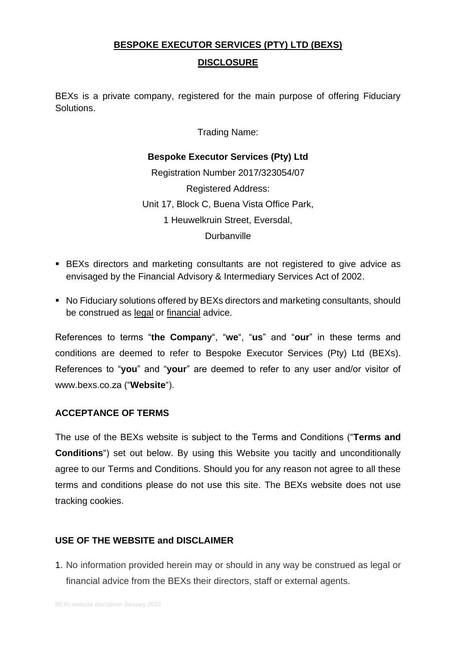# **BESPOKE EXECUTOR SERVICES (PTY) LTD (BEXS)**

**DISCLOSURE**

BEXs is a private company, registered for the main purpose of offering Fiduciary Solutions.

Trading Name:

# **Bespoke Executor Services (Pty) Ltd**

Registration Number 2017/323054/07 Registered Address: Unit 17, Block C, Buena Vista Office Park, 1 Heuwelkruin Street, Eversdal, **Durbanville** 

- BEXs directors and marketing consultants are not registered to give advice as envisaged by the Financial Advisory & Intermediary Services Act of 2002.
- No Fiduciary solutions offered by BEXs directors and marketing consultants, should be construed as legal or financial advice.

References to terms "**the Company**", "**we**", "**us**" and "**our**" in these terms and conditions are deemed to refer to Bespoke Executor Services (Pty) Ltd (BEXs). References to "**you**" and "**your**" are deemed to refer to any user and/or visitor of www.bexs.co.za ("**Website**").

# **ACCEPTANCE OF TERMS**

The use of the BEXs website is subject to the Terms and Conditions ("**Terms and Conditions**") set out below. By using this Website you tacitly and unconditionally agree to our Terms and Conditions. Should you for any reason not agree to all these terms and conditions please do not use this site. The BEXs website does not use tracking cookies.

# **USE OF THE WEBSITE and DISCLAIMER**

1. No information provided herein may or should in any way be construed as legal or financial advice from the BEXs their directors, staff or external agents.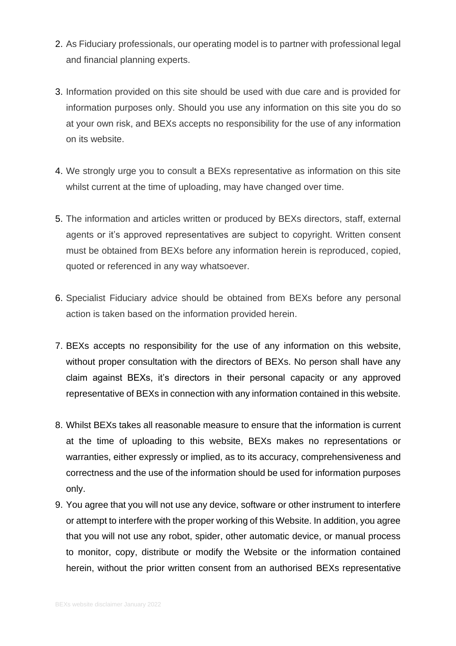- 2. As Fiduciary professionals, our operating model is to partner with professional legal and financial planning experts.
- 3. Information provided on this site should be used with due care and is provided for information purposes only. Should you use any information on this site you do so at your own risk, and BEXs accepts no responsibility for the use of any information on its website.
- 4. We strongly urge you to consult a BEXs representative as information on this site whilst current at the time of uploading, may have changed over time.
- 5. The information and articles written or produced by BEXs directors, staff, external agents or it's approved representatives are subject to copyright. Written consent must be obtained from BEXs before any information herein is reproduced, copied, quoted or referenced in any way whatsoever.
- 6. Specialist Fiduciary advice should be obtained from BEXs before any personal action is taken based on the information provided herein.
- 7. BEXs accepts no responsibility for the use of any information on this website, without proper consultation with the directors of BEXs. No person shall have any claim against BEXs, it's directors in their personal capacity or any approved representative of BEXs in connection with any information contained in this website.
- 8. Whilst BEXs takes all reasonable measure to ensure that the information is current at the time of uploading to this website, BEXs makes no representations or warranties, either expressly or implied, as to its accuracy, comprehensiveness and correctness and the use of the information should be used for information purposes only.
- 9. You agree that you will not use any device, software or other instrument to interfere or attempt to interfere with the proper working of this Website. In addition, you agree that you will not use any robot, spider, other automatic device, or manual process to monitor, copy, distribute or modify the Website or the information contained herein, without the prior written consent from an authorised BEXs representative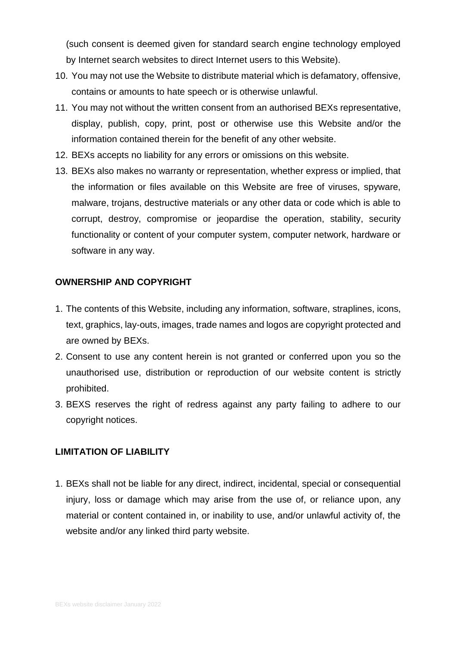(such consent is deemed given for standard search engine technology employed by Internet search websites to direct Internet users to this Website).

- 10. You may not use the Website to distribute material which is defamatory, offensive, contains or amounts to hate speech or is otherwise unlawful.
- 11. You may not without the written consent from an authorised BEXs representative, display, publish, copy, print, post or otherwise use this Website and/or the information contained therein for the benefit of any other website.
- 12. BEXs accepts no liability for any errors or omissions on this website.
- 13. BEXs also makes no warranty or representation, whether express or implied, that the information or files available on this Website are free of viruses, spyware, malware, trojans, destructive materials or any other data or code which is able to corrupt, destroy, compromise or jeopardise the operation, stability, security functionality or content of your computer system, computer network, hardware or software in any way.

#### **OWNERSHIP AND COPYRIGHT**

- 1. The contents of this Website, including any information, software, straplines, icons, text, graphics, lay-outs, images, trade names and logos are copyright protected and are owned by BEXs.
- 2. Consent to use any content herein is not granted or conferred upon you so the unauthorised use, distribution or reproduction of our website content is strictly prohibited.
- 3. BEXS reserves the right of redress against any party failing to adhere to our copyright notices.

## **LIMITATION OF LIABILITY**

1. BEXs shall not be liable for any direct, indirect, incidental, special or consequential injury, loss or damage which may arise from the use of, or reliance upon, any material or content contained in, or inability to use, and/or unlawful activity of, the website and/or any linked third party website.